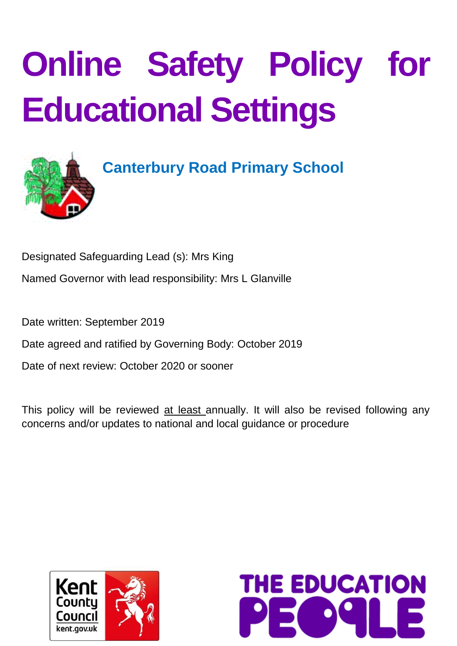# **Online Safety Policy for Educational Settings**



# **Canterbury Road Primary School**

Designated Safeguarding Lead (s): Mrs King

Named Governor with lead responsibility: Mrs L Glanville

Date written: September 2019

Date agreed and ratified by Governing Body: October 2019

Date of next review: October 2020 or sooner

This policy will be reviewed at least annually. It will also be revised following any concerns and/or updates to national and local guidance or procedure



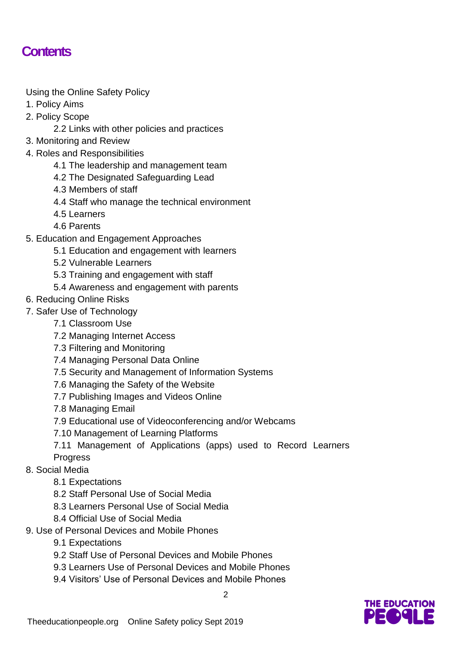#### **Contents**

Using the Online Safety Policy

- 1. Policy Aims
- 2. Policy Scope
	- 2.2 Links with other policies and practices
- 3. Monitoring and Review
- 4. Roles and Responsibilities
	- 4.1 The leadership and management team
	- 4.2 The Designated Safeguarding Lead
	- 4.3 Members of staff
	- 4.4 Staff who manage the technical environment
	- 4.5 Learners
	- 4.6 Parents
- 5. Education and Engagement Approaches
	- 5.1 Education and engagement with learners
	- 5.2 Vulnerable Learners
	- 5.3 Training and engagement with staff
	- 5.4 Awareness and engagement with parents
- 6. Reducing Online Risks
- 7. Safer Use of Technology
	- 7.1 Classroom Use
	- 7.2 Managing Internet Access
	- 7.3 Filtering and Monitoring
	- 7.4 Managing Personal Data Online
	- 7.5 Security and Management of Information Systems
	- 7.6 Managing the Safety of the Website
	- 7.7 Publishing Images and Videos Online
	- 7.8 Managing Email
	- 7.9 Educational use of Videoconferencing and/or Webcams
	- 7.10 Management of Learning Platforms
	- 7.11 Management of Applications (apps) used to Record Learners

 $\mathfrak{p}$ 

- **Progress**
- 8. Social Media
	- 8.1 Expectations
	- 8.2 Staff Personal Use of Social Media
	- 8.3 Learners Personal Use of Social Media
	- 8.4 Official Use of Social Media
- 9. Use of Personal Devices and Mobile Phones
	- 9.1 Expectations
	- 9.2 Staff Use of Personal Devices and Mobile Phones
	- 9.3 Learners Use of Personal Devices and Mobile Phones
	- 9.4 Visitors' Use of Personal Devices and Mobile Phones

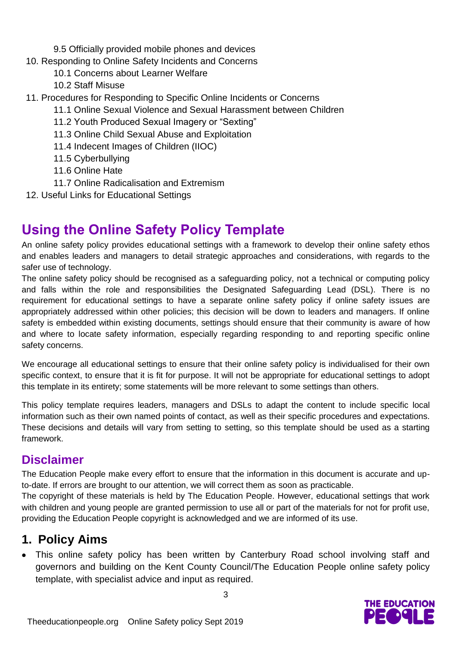- 9.5 Officially provided mobile phones and devices
- 10. Responding to Online Safety Incidents and Concerns
	- 10.1 Concerns about Learner Welfare
	- 10.2 Staff Misuse
- 11. Procedures for Responding to Specific Online Incidents or Concerns
	- 11.1 Online Sexual Violence and Sexual Harassment between Children
	- 11.2 Youth Produced Sexual Imagery or "Sexting"
	- 11.3 Online Child Sexual Abuse and Exploitation
	- 11.4 Indecent Images of Children (IIOC)
	- 11.5 Cyberbullying
	- 11.6 Online Hate
	- 11.7 Online Radicalisation and Extremism
- 12. Useful Links for Educational Settings

## **Using the Online Safety Policy Template**

An online safety policy provides educational settings with a framework to develop their online safety ethos and enables leaders and managers to detail strategic approaches and considerations, with regards to the safer use of technology.

The online safety policy should be recognised as a safeguarding policy, not a technical or computing policy and falls within the role and responsibilities the Designated Safeguarding Lead (DSL). There is no requirement for educational settings to have a separate online safety policy if online safety issues are appropriately addressed within other policies; this decision will be down to leaders and managers. If online safety is embedded within existing documents, settings should ensure that their community is aware of how and where to locate safety information, especially regarding responding to and reporting specific online safety concerns.

We encourage all educational settings to ensure that their online safety policy is individualised for their own specific context, to ensure that it is fit for purpose. It will not be appropriate for educational settings to adopt this template in its entirety; some statements will be more relevant to some settings than others.

This policy template requires leaders, managers and DSLs to adapt the content to include specific local information such as their own named points of contact, as well as their specific procedures and expectations. These decisions and details will vary from setting to setting, so this template should be used as a starting framework.

#### **Disclaimer**

The Education People make every effort to ensure that the information in this document is accurate and upto-date. If errors are brought to our attention, we will correct them as soon as practicable.

The copyright of these materials is held by The Education People. However, educational settings that work with children and young people are granted permission to use all or part of the materials for not for profit use, providing the Education People copyright is acknowledged and we are informed of its use.

#### **1. Policy Aims**

 This online safety policy has been written by Canterbury Road school involving staff and governors and building on the Kent County Council/The Education People online safety policy template, with specialist advice and input as required.

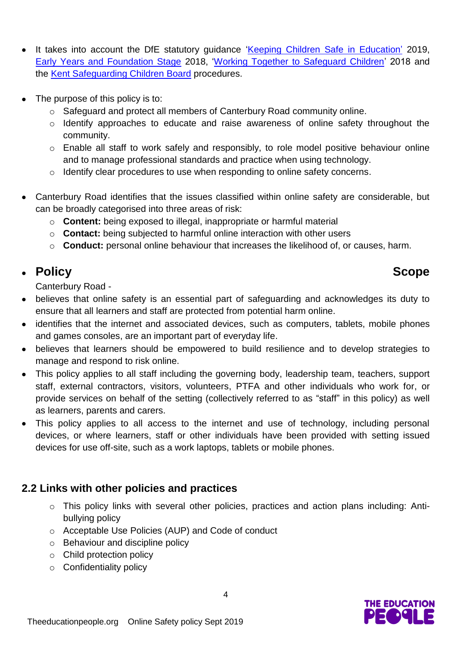- It takes into account the DfE statutory guidance ['Keeping Children Safe in Education'](https://www.gov.uk/government/publications/keeping-children-safe-in-education--2) 2019, [Early Years and Foundation Stage](https://www.gov.uk/government/publications/early-years-foundation-stage-framework--2) 2018, ['Working Together to Safeguard Children'](https://www.gov.uk/government/publications/working-together-to-safeguard-children--2) 2018 and the [Kent Safeguarding Children Board](http://www.kscb.org.uk/) procedures.
- The purpose of this policy is to:
	- o Safeguard and protect all members of Canterbury Road community online.
	- o Identify approaches to educate and raise awareness of online safety throughout the community.
	- o Enable all staff to work safely and responsibly, to role model positive behaviour online and to manage professional standards and practice when using technology.
	- o Identify clear procedures to use when responding to online safety concerns.
- Canterbury Road identifies that the issues classified within online safety are considerable, but can be broadly categorised into three areas of risk:
	- o **Content:** being exposed to illegal, inappropriate or harmful material
	- o **Contact:** being subjected to harmful online interaction with other users
	- o **Conduct:** personal online behaviour that increases the likelihood of, or causes, harm.

#### **Policy Scope**

Canterbury Road -

- believes that online safety is an essential part of safeguarding and acknowledges its duty to ensure that all learners and staff are protected from potential harm online.
- identifies that the internet and associated devices, such as computers, tablets, mobile phones and games consoles, are an important part of everyday life.
- believes that learners should be empowered to build resilience and to develop strategies to manage and respond to risk online.
- This policy applies to all staff including the governing body, leadership team, teachers, support staff, external contractors, visitors, volunteers, PTFA and other individuals who work for, or provide services on behalf of the setting (collectively referred to as "staff" in this policy) as well as learners, parents and carers.
- This policy applies to all access to the internet and use of technology, including personal devices, or where learners, staff or other individuals have been provided with setting issued devices for use off-site, such as a work laptops, tablets or mobile phones.

#### **2.2 Links with other policies and practices**

- o This policy links with several other policies, practices and action plans including: Antibullying policy
- o Acceptable Use Policies (AUP) and Code of conduct
- o Behaviour and discipline policy
- o Child protection policy
- o Confidentiality policy

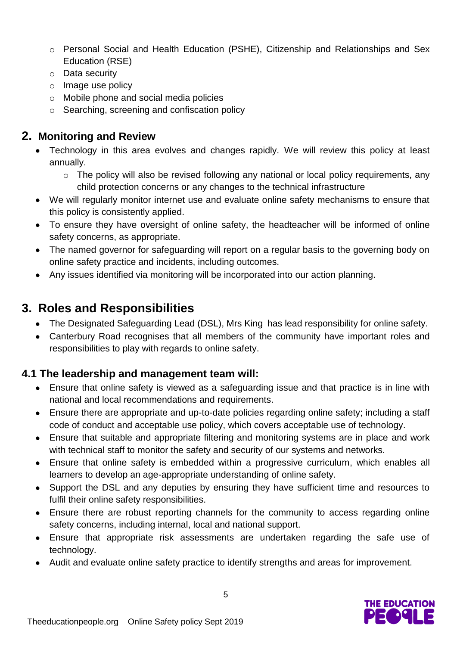- o Personal Social and Health Education (PSHE), Citizenship and Relationships and Sex Education (RSE)
- o Data security
- o Image use policy
- o Mobile phone and social media policies
- o Searching, screening and confiscation policy

#### **2. Monitoring and Review**

- Technology in this area evolves and changes rapidly. We will review this policy at least annually.
	- o The policy will also be revised following any national or local policy requirements, any child protection concerns or any changes to the technical infrastructure
- We will regularly monitor internet use and evaluate online safety mechanisms to ensure that this policy is consistently applied.
- To ensure they have oversight of online safety, the headteacher will be informed of online safety concerns, as appropriate.
- The named governor for safeguarding will report on a regular basis to the governing body on online safety practice and incidents, including outcomes.
- Any issues identified via monitoring will be incorporated into our action planning.

#### **3. Roles and Responsibilities**

- The Designated Safeguarding Lead (DSL), Mrs King has lead responsibility for online safety.
- Canterbury Road recognises that all members of the community have important roles and responsibilities to play with regards to online safety.

#### **4.1 The leadership and management team will:**

- Ensure that online safety is viewed as a safeguarding issue and that practice is in line with national and local recommendations and requirements.
- Ensure there are appropriate and up-to-date policies regarding online safety; including a staff code of conduct and acceptable use policy, which covers acceptable use of technology.
- Ensure that suitable and appropriate filtering and monitoring systems are in place and work with technical staff to monitor the safety and security of our systems and networks.
- Ensure that online safety is embedded within a progressive curriculum, which enables all learners to develop an age-appropriate understanding of online safety.
- Support the DSL and any deputies by ensuring they have sufficient time and resources to fulfil their online safety responsibilities.
- Ensure there are robust reporting channels for the community to access regarding online safety concerns, including internal, local and national support.
- Ensure that appropriate risk assessments are undertaken regarding the safe use of technology.
- Audit and evaluate online safety practice to identify strengths and areas for improvement.

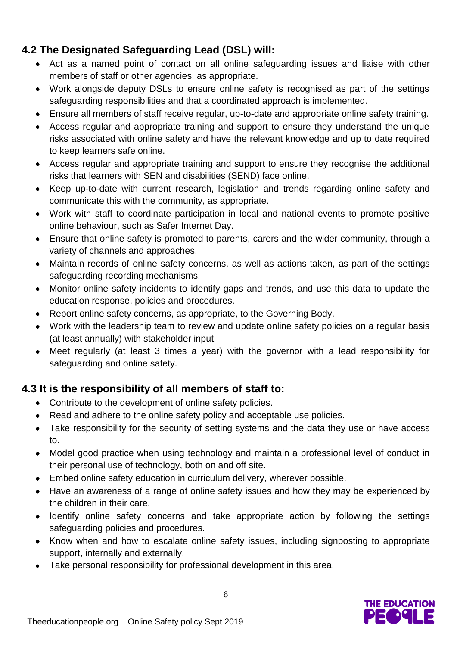#### **4.2 The Designated Safeguarding Lead (DSL) will:**

- Act as a named point of contact on all online safeguarding issues and liaise with other members of staff or other agencies, as appropriate.
- Work alongside deputy DSLs to ensure online safety is recognised as part of the settings safeguarding responsibilities and that a coordinated approach is implemented.
- Ensure all members of staff receive regular, up-to-date and appropriate online safety training.
- Access regular and appropriate training and support to ensure they understand the unique risks associated with online safety and have the relevant knowledge and up to date required to keep learners safe online.
- Access regular and appropriate training and support to ensure they recognise the additional risks that learners with SEN and disabilities (SEND) face online.
- Keep up-to-date with current research, legislation and trends regarding online safety and communicate this with the community, as appropriate.
- Work with staff to coordinate participation in local and national events to promote positive online behaviour, such as Safer Internet Day.
- Ensure that online safety is promoted to parents, carers and the wider community, through a variety of channels and approaches.
- Maintain records of online safety concerns, as well as actions taken, as part of the settings safeguarding recording mechanisms.
- Monitor online safety incidents to identify gaps and trends, and use this data to update the education response, policies and procedures.
- Report online safety concerns, as appropriate, to the Governing Body.
- Work with the leadership team to review and update online safety policies on a regular basis (at least annually) with stakeholder input.
- Meet regularly (at least 3 times a year) with the governor with a lead responsibility for safeguarding and online safety.

#### **4.3 It is the responsibility of all members of staff to:**

- Contribute to the development of online safety policies.
- Read and adhere to the online safety policy and acceptable use policies.
- Take responsibility for the security of setting systems and the data they use or have access to.
- Model good practice when using technology and maintain a professional level of conduct in their personal use of technology, both on and off site.
- Embed online safety education in curriculum delivery, wherever possible.
- Have an awareness of a range of online safety issues and how they may be experienced by the children in their care.
- Identify online safety concerns and take appropriate action by following the settings safeguarding policies and procedures.
- Know when and how to escalate online safety issues, including signposting to appropriate support, internally and externally.
- Take personal responsibility for professional development in this area.

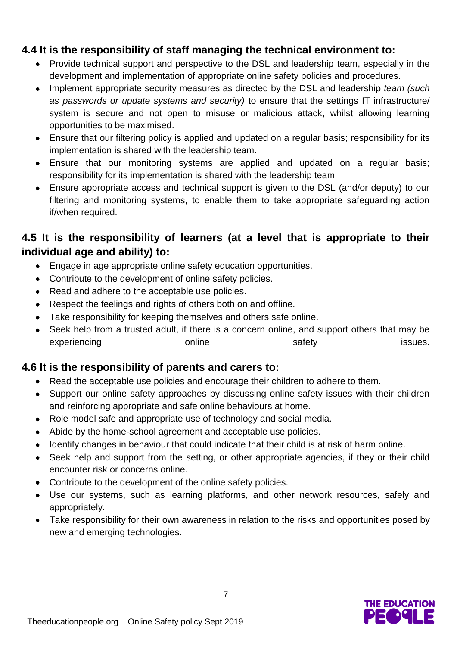#### **4.4 It is the responsibility of staff managing the technical environment to:**

- Provide technical support and perspective to the DSL and leadership team, especially in the development and implementation of appropriate online safety policies and procedures.
- Implement appropriate security measures as directed by the DSL and leadership *team (such as passwords or update systems and security)* to ensure that the settings IT infrastructure/ system is secure and not open to misuse or malicious attack, whilst allowing learning opportunities to be maximised.
- Ensure that our filtering policy is applied and updated on a regular basis; responsibility for its implementation is shared with the leadership team.
- Ensure that our monitoring systems are applied and updated on a regular basis; responsibility for its implementation is shared with the leadership team
- Ensure appropriate access and technical support is given to the DSL (and/or deputy) to our filtering and monitoring systems, to enable them to take appropriate safeguarding action if/when required.

#### **4.5 It is the responsibility of learners (at a level that is appropriate to their individual age and ability) to:**

- Engage in age appropriate online safety education opportunities.
- Contribute to the development of online safety policies.
- Read and adhere to the acceptable use policies.
- Respect the feelings and rights of others both on and offline.
- Take responsibility for keeping themselves and others safe online.
- Seek help from a trusted adult, if there is a concern online, and support others that may be experiencing online online safety issues.

#### **4.6 It is the responsibility of parents and carers to:**

- Read the acceptable use policies and encourage their children to adhere to them.
- Support our online safety approaches by discussing online safety issues with their children and reinforcing appropriate and safe online behaviours at home.
- Role model safe and appropriate use of technology and social media.
- Abide by the home-school agreement and acceptable use policies.
- Identify changes in behaviour that could indicate that their child is at risk of harm online.
- Seek help and support from the setting, or other appropriate agencies, if they or their child encounter risk or concerns online.
- Contribute to the development of the online safety policies.
- Use our systems, such as learning platforms, and other network resources, safely and appropriately.
- Take responsibility for their own awareness in relation to the risks and opportunities posed by new and emerging technologies.

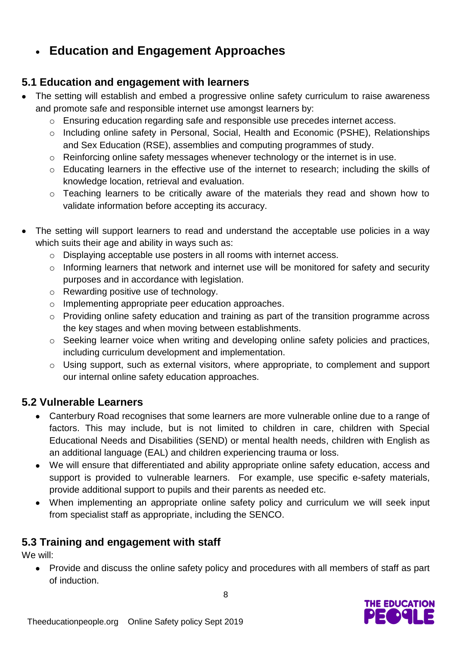#### **Education and Engagement Approaches**

#### **5.1 Education and engagement with learners**

- The setting will establish and embed a progressive online safety curriculum to raise awareness and promote safe and responsible internet use amongst learners by:
	- o Ensuring education regarding safe and responsible use precedes internet access.
	- o Including online safety in Personal, Social, Health and Economic (PSHE), Relationships and Sex Education (RSE), assemblies and computing programmes of study.
	- o Reinforcing online safety messages whenever technology or the internet is in use.
	- o Educating learners in the effective use of the internet to research; including the skills of knowledge location, retrieval and evaluation.
	- o Teaching learners to be critically aware of the materials they read and shown how to validate information before accepting its accuracy.
- The setting will support learners to read and understand the acceptable use policies in a way which suits their age and ability in ways such as:
	- o Displaying acceptable use posters in all rooms with internet access.
	- o Informing learners that network and internet use will be monitored for safety and security purposes and in accordance with legislation.
	- o Rewarding positive use of technology.
	- o Implementing appropriate peer education approaches.
	- o Providing online safety education and training as part of the transition programme across the key stages and when moving between establishments.
	- o Seeking learner voice when writing and developing online safety policies and practices, including curriculum development and implementation.
	- o Using support, such as external visitors, where appropriate, to complement and support our internal online safety education approaches.

#### **5.2 Vulnerable Learners**

- Canterbury Road recognises that some learners are more vulnerable online due to a range of factors. This may include, but is not limited to children in care, children with Special Educational Needs and Disabilities (SEND) or mental health needs, children with English as an additional language (EAL) and children experiencing trauma or loss.
- We will ensure that differentiated and ability appropriate online safety education, access and support is provided to vulnerable learners. For example, use specific e-safety materials, provide additional support to pupils and their parents as needed etc.
- When implementing an appropriate online safety policy and curriculum we will seek input from specialist staff as appropriate, including the SENCO.

#### **5.3 Training and engagement with staff**

We will:

• Provide and discuss the online safety policy and procedures with all members of staff as part of induction.

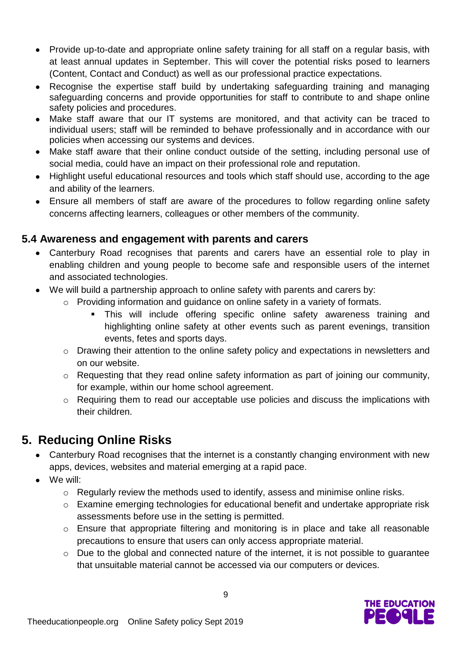- Provide up-to-date and appropriate online safety training for all staff on a regular basis, with at least annual updates in September. This will cover the potential risks posed to learners (Content, Contact and Conduct) as well as our professional practice expectations.
- Recognise the expertise staff build by undertaking safeguarding training and managing safeguarding concerns and provide opportunities for staff to contribute to and shape online safety policies and procedures.
- Make staff aware that our IT systems are monitored, and that activity can be traced to individual users; staff will be reminded to behave professionally and in accordance with our policies when accessing our systems and devices.
- Make staff aware that their online conduct outside of the setting, including personal use of social media, could have an impact on their professional role and reputation.
- Highlight useful educational resources and tools which staff should use, according to the age and ability of the learners.
- Ensure all members of staff are aware of the procedures to follow regarding online safety concerns affecting learners, colleagues or other members of the community.

#### **5.4 Awareness and engagement with parents and carers**

- Canterbury Road recognises that parents and carers have an essential role to play in enabling children and young people to become safe and responsible users of the internet and associated technologies.
- We will build a partnership approach to online safety with parents and carers by:
	- o Providing information and guidance on online safety in a variety of formats.
		- This will include offering specific online safety awareness training and highlighting online safety at other events such as parent evenings, transition events, fetes and sports days.
	- o Drawing their attention to the online safety policy and expectations in newsletters and on our website.
	- o Requesting that they read online safety information as part of joining our community, for example, within our home school agreement.
	- o Requiring them to read our acceptable use policies and discuss the implications with their children.

### **5. Reducing Online Risks**

- Canterbury Road recognises that the internet is a constantly changing environment with new apps, devices, websites and material emerging at a rapid pace.
- We will:
	- o Regularly review the methods used to identify, assess and minimise online risks.
	- o Examine emerging technologies for educational benefit and undertake appropriate risk assessments before use in the setting is permitted.
	- o Ensure that appropriate filtering and monitoring is in place and take all reasonable precautions to ensure that users can only access appropriate material.
	- o Due to the global and connected nature of the internet, it is not possible to guarantee that unsuitable material cannot be accessed via our computers or devices.

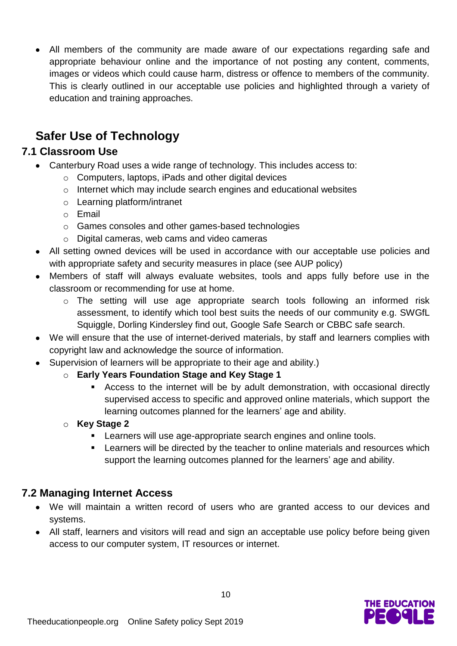All members of the community are made aware of our expectations regarding safe and appropriate behaviour online and the importance of not posting any content, comments, images or videos which could cause harm, distress or offence to members of the community. This is clearly outlined in our acceptable use policies and highlighted through a variety of education and training approaches.

#### **Safer Use of Technology**

#### **7.1 Classroom Use**

- Canterbury Road uses a wide range of technology. This includes access to:
	- o Computers, laptops, iPads and other digital devices
	- o Internet which may include search engines and educational websites
	- o Learning platform/intranet
	- o Email
	- o Games consoles and other games-based technologies
	- o Digital cameras, web cams and video cameras
- All setting owned devices will be used in accordance with our acceptable use policies and with appropriate safety and security measures in place (see AUP policy)
- Members of staff will always evaluate websites, tools and apps fully before use in the classroom or recommending for use at home.
	- o The setting will use age appropriate search tools following an informed risk assessment, to identify which tool best suits the needs of our community e.g. SWGfL Squiggle, Dorling Kindersley find out, Google Safe Search or CBBC safe search.
- We will ensure that the use of internet-derived materials, by staff and learners complies with copyright law and acknowledge the source of information.
- Supervision of learners will be appropriate to their age and ability.)
	- o **Early Years Foundation Stage and Key Stage 1**
		- Access to the internet will be by adult demonstration, with occasional directly supervised access to specific and approved online materials, which support the learning outcomes planned for the learners' age and ability.
	- o **Key Stage 2** 
		- **EXECT** Learners will use age-appropriate search engines and online tools.
		- **EXECT** Learners will be directed by the teacher to online materials and resources which support the learning outcomes planned for the learners' age and ability.

#### **7.2 Managing Internet Access**

- We will maintain a written record of users who are granted access to our devices and systems.
- All staff, learners and visitors will read and sign an acceptable use policy before being given access to our computer system, IT resources or internet.

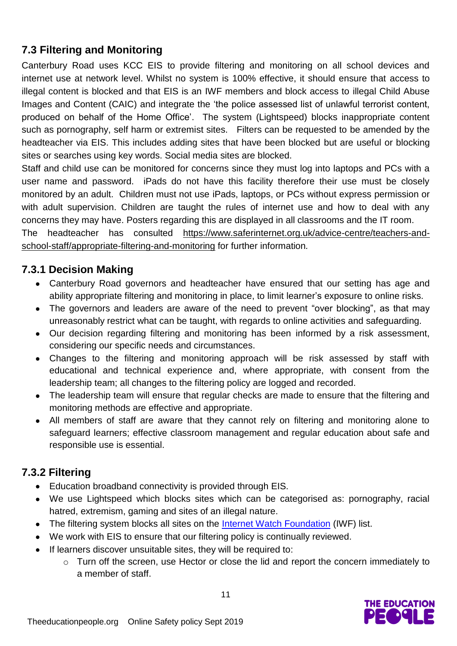#### **7.3 Filtering and Monitoring**

Canterbury Road uses KCC EIS to provide filtering and monitoring on all school devices and internet use at network level. Whilst no system is 100% effective, it should ensure that access to illegal content is blocked and that EIS is an IWF members and block access to illegal Child Abuse Images and Content (CAIC) and integrate the 'the police assessed list of unlawful terrorist content, produced on behalf of the Home Office'. The system (Lightspeed) blocks inappropriate content such as pornography, self harm or extremist sites. Filters can be requested to be amended by the headteacher via EIS. This includes adding sites that have been blocked but are useful or blocking sites or searches using key words. Social media sites are blocked.

Staff and child use can be monitored for concerns since they must log into laptops and PCs with a user name and password. iPads do not have this facility therefore their use must be closely monitored by an adult. Children must not use iPads, laptops, or PCs without express permission or with adult supervision. Children are taught the rules of internet use and how to deal with any concerns they may have. Posters regarding this are displayed in all classrooms and the IT room.

The headteacher has consulted [https://www.saferinternet.org.uk/advice-centre/teachers-and](https://www.saferinternet.org.uk/advice-centre/teachers-and-school-staff/appropriate-filtering-and-monitoring)[school-staff/appropriate-filtering-and-monitoring](https://www.saferinternet.org.uk/advice-centre/teachers-and-school-staff/appropriate-filtering-and-monitoring) for further information*.* 

#### **7.3.1 Decision Making**

- Canterbury Road governors and headteacher have ensured that our setting has age and ability appropriate filtering and monitoring in place, to limit learner's exposure to online risks.
- The governors and leaders are aware of the need to prevent "over blocking", as that may unreasonably restrict what can be taught, with regards to online activities and safeguarding.
- Our decision regarding filtering and monitoring has been informed by a risk assessment, considering our specific needs and circumstances.
- Changes to the filtering and monitoring approach will be risk assessed by staff with educational and technical experience and, where appropriate, with consent from the leadership team; all changes to the filtering policy are logged and recorded.
- The leadership team will ensure that regular checks are made to ensure that the filtering and monitoring methods are effective and appropriate.
- All members of staff are aware that they cannot rely on filtering and monitoring alone to safeguard learners; effective classroom management and regular education about safe and responsible use is essential.

#### **7.3.2 Filtering**

- Education broadband connectivity is provided through EIS.
- We use Lightspeed which blocks sites which can be categorised as: pornography, racial hatred, extremism, gaming and sites of an illegal nature.
- The filtering system blocks all sites on the [Internet Watch Foundation](https://www.iwf.org.uk/) (IWF) list.
- We work with EIS to ensure that our filtering policy is continually reviewed.
- If learners discover unsuitable sites, they will be required to:
	- o Turn off the screen, use Hector or close the lid and report the concern immediately to a member of staff.

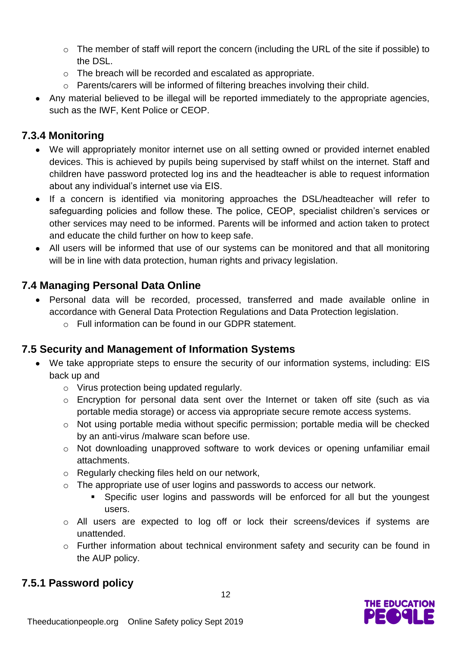- o The member of staff will report the concern (including the URL of the site if possible) to the DSL.
- o The breach will be recorded and escalated as appropriate.
- o Parents/carers will be informed of filtering breaches involving their child.
- Any material believed to be illegal will be reported immediately to the appropriate agencies, such as the IWF, Kent Police or CEOP.

#### **7.3.4 Monitoring**

- We will appropriately monitor internet use on all setting owned or provided internet enabled devices. This is achieved by pupils being supervised by staff whilst on the internet. Staff and children have password protected log ins and the headteacher is able to request information about any individual's internet use via EIS.
- If a concern is identified via monitoring approaches the DSL/headteacher will refer to safeguarding policies and follow these. The police, CEOP, specialist children's services or other services may need to be informed. Parents will be informed and action taken to protect and educate the child further on how to keep safe.
- All users will be informed that use of our systems can be monitored and that all monitoring will be in line with data protection, human rights and privacy legislation.

#### **7.4 Managing Personal Data Online**

- Personal data will be recorded, processed, transferred and made available online in accordance with General Data Protection Regulations and Data Protection legislation.
	- o Full information can be found in our GDPR statement.

#### **7.5 Security and Management of Information Systems**

- We take appropriate steps to ensure the security of our information systems, including: EIS back up and
	- o Virus protection being updated regularly.
	- o Encryption for personal data sent over the Internet or taken off site (such as via portable media storage) or access via appropriate secure remote access systems.
	- o Not using portable media without specific permission; portable media will be checked by an anti-virus /malware scan before use.
	- o Not downloading unapproved software to work devices or opening unfamiliar email attachments.
	- o Regularly checking files held on our network,
	- o The appropriate use of user logins and passwords to access our network.
		- Specific user logins and passwords will be enforced for all but the youngest users.
	- o All users are expected to log off or lock their screens/devices if systems are unattended.
	- o Further information about technical environment safety and security can be found in the AUP policy.

#### **7.5.1 Password policy**

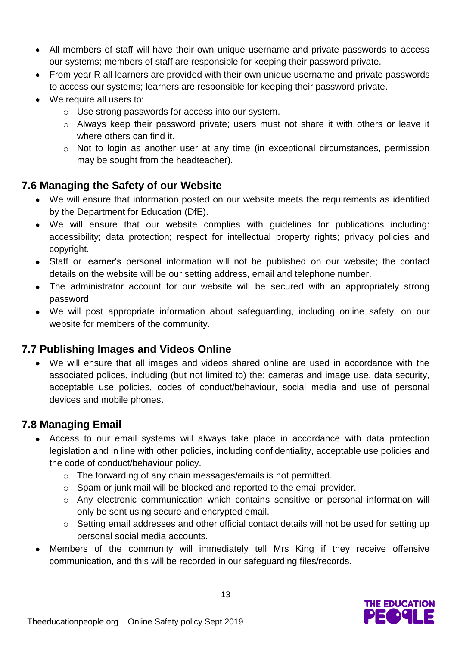- All members of staff will have their own unique username and private passwords to access our systems; members of staff are responsible for keeping their password private.
- From year R all learners are provided with their own unique username and private passwords to access our systems; learners are responsible for keeping their password private.
- We require all users to:
	- o Use strong passwords for access into our system.
	- o Always keep their password private; users must not share it with others or leave it where others can find it.
	- o Not to login as another user at any time (in exceptional circumstances, permission may be sought from the headteacher).

#### **7.6 Managing the Safety of our Website**

- We will ensure that information posted on our website meets the requirements as identified by the Department for Education (DfE).
- We will ensure that our website complies with guidelines for publications including: accessibility; data protection; respect for intellectual property rights; privacy policies and copyright.
- Staff or learner's personal information will not be published on our website; the contact details on the website will be our setting address, email and telephone number.
- The administrator account for our website will be secured with an appropriately strong password.
- We will post appropriate information about safeguarding, including online safety, on our website for members of the community.

#### **7.7 Publishing Images and Videos Online**

 We will ensure that all images and videos shared online are used in accordance with the associated polices, including (but not limited to) the: cameras and image use, data security, acceptable use policies, codes of conduct/behaviour, social media and use of personal devices and mobile phones.

#### **7.8 Managing Email**

- Access to our email systems will always take place in accordance with data protection legislation and in line with other policies, including confidentiality, acceptable use policies and the code of conduct/behaviour policy.
	- o The forwarding of any chain messages/emails is not permitted.
	- o Spam or junk mail will be blocked and reported to the email provider.
	- o Any electronic communication which contains sensitive or personal information will only be sent using secure and encrypted email.
	- o Setting email addresses and other official contact details will not be used for setting up personal social media accounts.
- Members of the community will immediately tell Mrs King if they receive offensive communication, and this will be recorded in our safeguarding files/records.

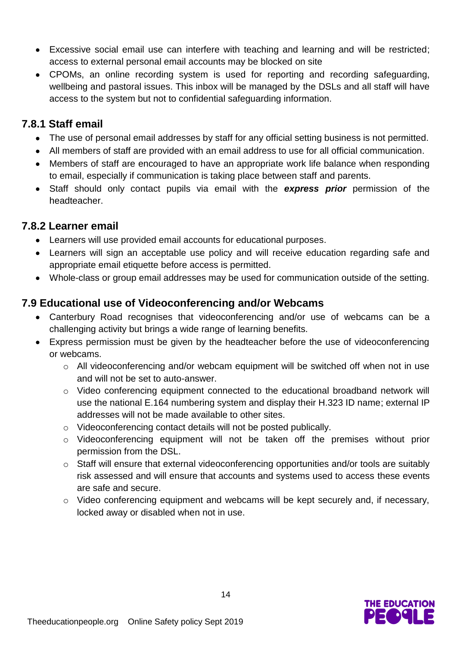- Excessive social email use can interfere with teaching and learning and will be restricted; access to external personal email accounts may be blocked on site
- CPOMs, an online recording system is used for reporting and recording safeguarding, wellbeing and pastoral issues. This inbox will be managed by the DSLs and all staff will have access to the system but not to confidential safeguarding information.

#### **7.8.1 Staff email**

- The use of personal email addresses by staff for any official setting business is not permitted.
- All members of staff are provided with an email address to use for all official communication.
- Members of staff are encouraged to have an appropriate work life balance when responding to email, especially if communication is taking place between staff and parents.
- Staff should only contact pupils via email with the *express prior* permission of the headteacher.

#### **7.8.2 Learner email**

- Learners will use provided email accounts for educational purposes.
- Learners will sign an acceptable use policy and will receive education regarding safe and appropriate email etiquette before access is permitted.
- Whole-class or group email addresses may be used for communication outside of the setting.

#### **7.9 Educational use of Videoconferencing and/or Webcams**

- Canterbury Road recognises that videoconferencing and/or use of webcams can be a challenging activity but brings a wide range of learning benefits.
- Express permission must be given by the headteacher before the use of videoconferencing or webcams.
	- o All videoconferencing and/or webcam equipment will be switched off when not in use and will not be set to auto-answer.
	- o Video conferencing equipment connected to the educational broadband network will use the national E.164 numbering system and display their H.323 ID name; external IP addresses will not be made available to other sites.
	- o Videoconferencing contact details will not be posted publically.
	- o Videoconferencing equipment will not be taken off the premises without prior permission from the DSL.
	- o Staff will ensure that external videoconferencing opportunities and/or tools are suitably risk assessed and will ensure that accounts and systems used to access these events are safe and secure.
	- o Video conferencing equipment and webcams will be kept securely and, if necessary, locked away or disabled when not in use.

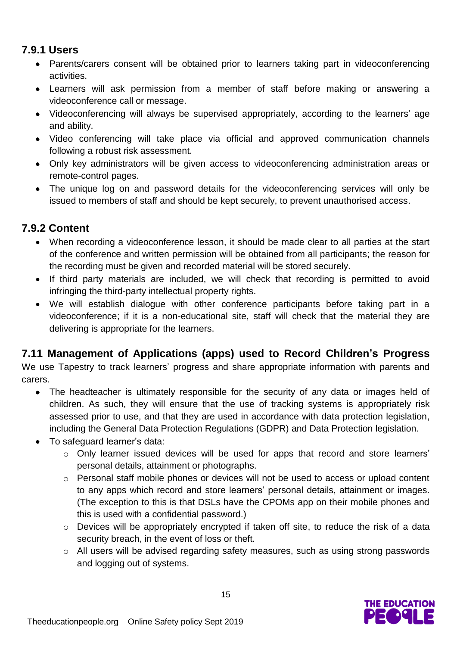#### **7.9.1 Users**

- Parents/carers consent will be obtained prior to learners taking part in videoconferencing activities.
- Learners will ask permission from a member of staff before making or answering a videoconference call or message.
- Videoconferencing will always be supervised appropriately, according to the learners' age and ability.
- Video conferencing will take place via official and approved communication channels following a robust risk assessment.
- Only key administrators will be given access to videoconferencing administration areas or remote-control pages.
- The unique log on and password details for the videoconferencing services will only be issued to members of staff and should be kept securely, to prevent unauthorised access.

#### **7.9.2 Content**

- When recording a videoconference lesson, it should be made clear to all parties at the start of the conference and written permission will be obtained from all participants; the reason for the recording must be given and recorded material will be stored securely.
- If third party materials are included, we will check that recording is permitted to avoid infringing the third-party intellectual property rights.
- We will establish dialogue with other conference participants before taking part in a videoconference; if it is a non-educational site, staff will check that the material they are delivering is appropriate for the learners.

#### **7.11 Management of Applications (apps) used to Record Children's Progress**

We use Tapestry to track learners' progress and share appropriate information with parents and carers.

- The headteacher is ultimately responsible for the security of any data or images held of children. As such, they will ensure that the use of tracking systems is appropriately risk assessed prior to use, and that they are used in accordance with data protection legislation, including the General Data Protection Regulations (GDPR) and Data Protection legislation.
- To safeguard learner's data:
	- o Only learner issued devices will be used for apps that record and store learners' personal details, attainment or photographs.
	- o Personal staff mobile phones or devices will not be used to access or upload content to any apps which record and store learners' personal details, attainment or images. (The exception to this is that DSLs have the CPOMs app on their mobile phones and this is used with a confidential password.)
	- o Devices will be appropriately encrypted if taken off site, to reduce the risk of a data security breach, in the event of loss or theft.
	- o All users will be advised regarding safety measures, such as using strong passwords and logging out of systems.

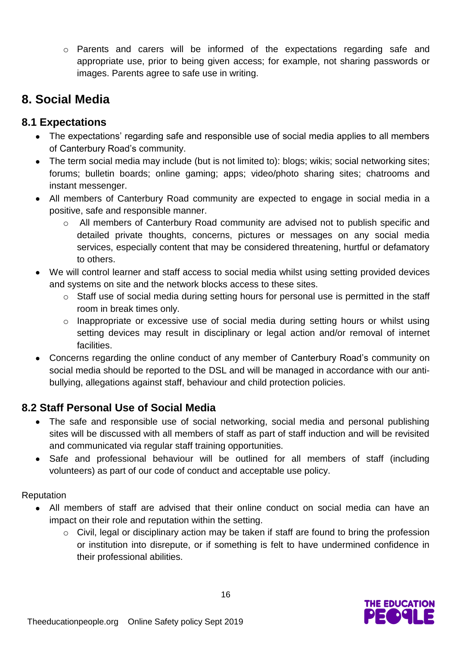o Parents and carers will be informed of the expectations regarding safe and appropriate use, prior to being given access; for example, not sharing passwords or images. Parents agree to safe use in writing.

#### **8. Social Media**

#### **8.1 Expectations**

- The expectations' regarding safe and responsible use of social media applies to all members of Canterbury Road's community.
- The term social media may include (but is not limited to): blogs; wikis; social networking sites; forums; bulletin boards; online gaming; apps; video/photo sharing sites; chatrooms and instant messenger.
- All members of Canterbury Road community are expected to engage in social media in a positive, safe and responsible manner.
	- o All members of Canterbury Road community are advised not to publish specific and detailed private thoughts, concerns, pictures or messages on any social media services, especially content that may be considered threatening, hurtful or defamatory to others.
- We will control learner and staff access to social media whilst using setting provided devices and systems on site and the network blocks access to these sites.
	- o Staff use of social media during setting hours for personal use is permitted in the staff room in break times only.
	- o Inappropriate or excessive use of social media during setting hours or whilst using setting devices may result in disciplinary or legal action and/or removal of internet facilities.
- Concerns regarding the online conduct of any member of Canterbury Road's community on social media should be reported to the DSL and will be managed in accordance with our antibullying, allegations against staff, behaviour and child protection policies.

#### **8.2 Staff Personal Use of Social Media**

- The safe and responsible use of social networking, social media and personal publishing sites will be discussed with all members of staff as part of staff induction and will be revisited and communicated via regular staff training opportunities.
- Safe and professional behaviour will be outlined for all members of staff (including volunteers) as part of our code of conduct and acceptable use policy.

#### Reputation

- All members of staff are advised that their online conduct on social media can have an impact on their role and reputation within the setting.
	- o Civil, legal or disciplinary action may be taken if staff are found to bring the profession or institution into disrepute, or if something is felt to have undermined confidence in their professional abilities.

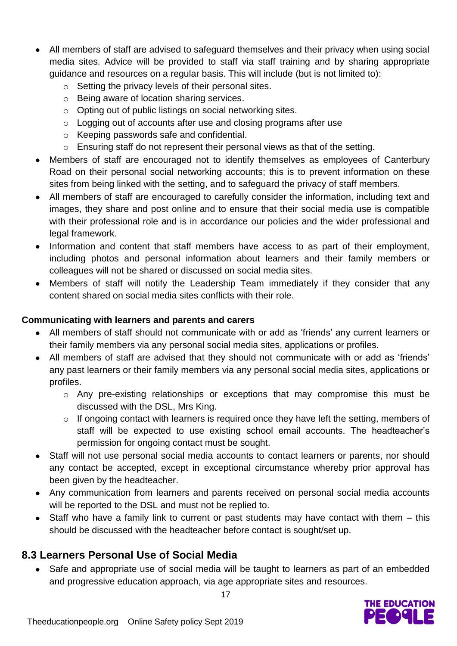- All members of staff are advised to safeguard themselves and their privacy when using social media sites. Advice will be provided to staff via staff training and by sharing appropriate guidance and resources on a regular basis. This will include (but is not limited to):
	- o Setting the privacy levels of their personal sites.
	- o Being aware of location sharing services.
	- o Opting out of public listings on social networking sites.
	- o Logging out of accounts after use and closing programs after use
	- o Keeping passwords safe and confidential.
	- o Ensuring staff do not represent their personal views as that of the setting.
- Members of staff are encouraged not to identify themselves as employees of Canterbury Road on their personal social networking accounts; this is to prevent information on these sites from being linked with the setting, and to safeguard the privacy of staff members.
- All members of staff are encouraged to carefully consider the information, including text and images, they share and post online and to ensure that their social media use is compatible with their professional role and is in accordance our policies and the wider professional and legal framework.
- Information and content that staff members have access to as part of their employment, including photos and personal information about learners and their family members or colleagues will not be shared or discussed on social media sites.
- Members of staff will notify the Leadership Team immediately if they consider that any content shared on social media sites conflicts with their role.

#### **Communicating with learners and parents and carers**

- All members of staff should not communicate with or add as 'friends' any current learners or their family members via any personal social media sites, applications or profiles.
- All members of staff are advised that they should not communicate with or add as 'friends' any past learners or their family members via any personal social media sites, applications or profiles.
	- o Any pre-existing relationships or exceptions that may compromise this must be discussed with the DSL, Mrs King.
	- o If ongoing contact with learners is required once they have left the setting, members of staff will be expected to use existing school email accounts. The headteacher's permission for ongoing contact must be sought.
- Staff will not use personal social media accounts to contact learners or parents, nor should any contact be accepted, except in exceptional circumstance whereby prior approval has been given by the headteacher.
- Any communication from learners and parents received on personal social media accounts will be reported to the DSL and must not be replied to.
- Staff who have a family link to current or past students may have contact with them this should be discussed with the headteacher before contact is sought/set up.

#### **8.3 Learners Personal Use of Social Media**

 Safe and appropriate use of social media will be taught to learners as part of an embedded and progressive education approach, via age appropriate sites and resources.

17

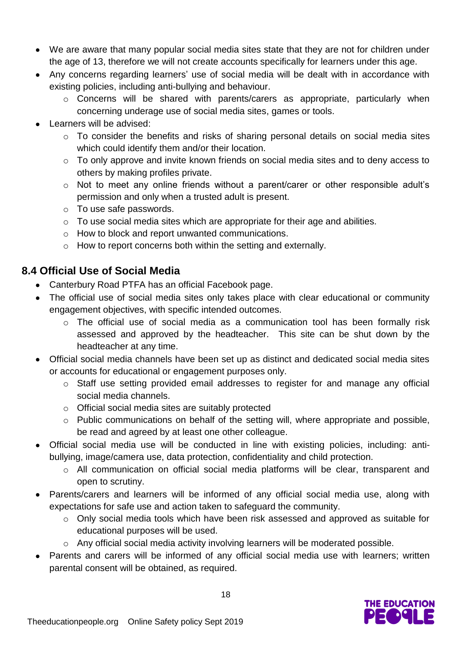- We are aware that many popular social media sites state that they are not for children under the age of 13, therefore we will not create accounts specifically for learners under this age.
- Any concerns regarding learners' use of social media will be dealt with in accordance with existing policies, including anti-bullying and behaviour.
	- o Concerns will be shared with parents/carers as appropriate, particularly when concerning underage use of social media sites, games or tools.
- Learners will be advised:
	- o To consider the benefits and risks of sharing personal details on social media sites which could identify them and/or their location.
	- o To only approve and invite known friends on social media sites and to deny access to others by making profiles private.
	- o Not to meet any online friends without a parent/carer or other responsible adult's permission and only when a trusted adult is present.
	- o To use safe passwords.
	- o To use social media sites which are appropriate for their age and abilities.
	- o How to block and report unwanted communications.
	- o How to report concerns both within the setting and externally.

#### **8.4 Official Use of Social Media**

- Canterbury Road PTFA has an official Facebook page.
- The official use of social media sites only takes place with clear educational or community engagement objectives, with specific intended outcomes.
	- o The official use of social media as a communication tool has been formally risk assessed and approved by the headteacher. This site can be shut down by the headteacher at any time.
- Official social media channels have been set up as distinct and dedicated social media sites or accounts for educational or engagement purposes only.
	- o Staff use setting provided email addresses to register for and manage any official social media channels.
	- o Official social media sites are suitably protected
	- o Public communications on behalf of the setting will, where appropriate and possible, be read and agreed by at least one other colleague.
- Official social media use will be conducted in line with existing policies, including: antibullying, image/camera use, data protection, confidentiality and child protection.
	- o All communication on official social media platforms will be clear, transparent and open to scrutiny.
- Parents/carers and learners will be informed of any official social media use, along with expectations for safe use and action taken to safeguard the community.
	- o Only social media tools which have been risk assessed and approved as suitable for educational purposes will be used.
	- o Any official social media activity involving learners will be moderated possible.
- Parents and carers will be informed of any official social media use with learners; written parental consent will be obtained, as required.

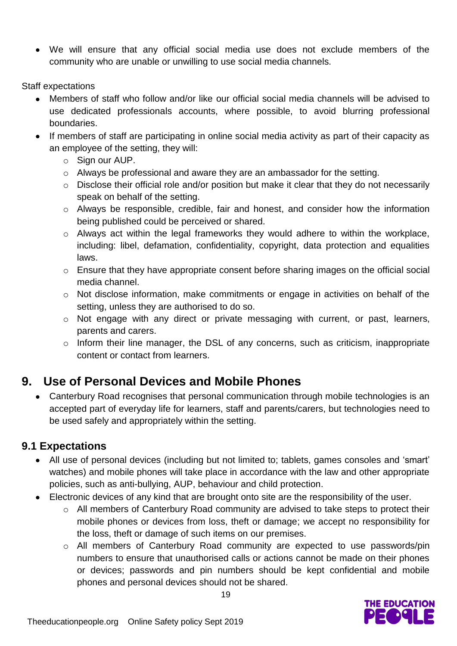We will ensure that any official social media use does not exclude members of the community who are unable or unwilling to use social media channels.

Staff expectations

- Members of staff who follow and/or like our official social media channels will be advised to use dedicated professionals accounts, where possible, to avoid blurring professional boundaries.
- If members of staff are participating in online social media activity as part of their capacity as an employee of the setting, they will:
	- o Sign our AUP.
	- o Always be professional and aware they are an ambassador for the setting.
	- $\circ$  Disclose their official role and/or position but make it clear that they do not necessarily speak on behalf of the setting.
	- o Always be responsible, credible, fair and honest, and consider how the information being published could be perceived or shared.
	- o Always act within the legal frameworks they would adhere to within the workplace, including: libel, defamation, confidentiality, copyright, data protection and equalities laws.
	- o Ensure that they have appropriate consent before sharing images on the official social media channel.
	- o Not disclose information, make commitments or engage in activities on behalf of the setting, unless they are authorised to do so.
	- o Not engage with any direct or private messaging with current, or past, learners, parents and carers.
	- o Inform their line manager, the DSL of any concerns, such as criticism, inappropriate content or contact from learners.

### **9. Use of Personal Devices and Mobile Phones**

 Canterbury Road recognises that personal communication through mobile technologies is an accepted part of everyday life for learners, staff and parents/carers, but technologies need to be used safely and appropriately within the setting.

#### **9.1 Expectations**

- All use of personal devices (including but not limited to; tablets, games consoles and 'smart' watches) and mobile phones will take place in accordance with the law and other appropriate policies, such as anti-bullying, AUP, behaviour and child protection.
- Electronic devices of any kind that are brought onto site are the responsibility of the user.
	- o All members of Canterbury Road community are advised to take steps to protect their mobile phones or devices from loss, theft or damage; we accept no responsibility for the loss, theft or damage of such items on our premises.
	- o All members of Canterbury Road community are expected to use passwords/pin numbers to ensure that unauthorised calls or actions cannot be made on their phones or devices; passwords and pin numbers should be kept confidential and mobile phones and personal devices should not be shared.

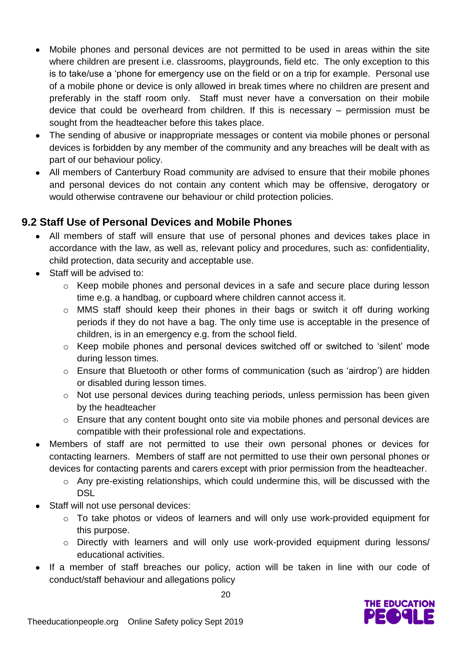- Mobile phones and personal devices are not permitted to be used in areas within the site where children are present i.e. classrooms, playgrounds, field etc. The only exception to this is to take/use a 'phone for emergency use on the field or on a trip for example. Personal use of a mobile phone or device is only allowed in break times where no children are present and preferably in the staff room only. Staff must never have a conversation on their mobile device that could be overheard from children. If this is necessary – permission must be sought from the headteacher before this takes place.
- The sending of abusive or inappropriate messages or content via mobile phones or personal devices is forbidden by any member of the community and any breaches will be dealt with as part of our behaviour policy.
- All members of Canterbury Road community are advised to ensure that their mobile phones and personal devices do not contain any content which may be offensive, derogatory or would otherwise contravene our behaviour or child protection policies.

#### **9.2 Staff Use of Personal Devices and Mobile Phones**

- All members of staff will ensure that use of personal phones and devices takes place in accordance with the law, as well as, relevant policy and procedures, such as: confidentiality, child protection, data security and acceptable use.
- Staff will be advised to:
	- o Keep mobile phones and personal devices in a safe and secure place during lesson time e.g. a handbag, or cupboard where children cannot access it.
	- o MMS staff should keep their phones in their bags or switch it off during working periods if they do not have a bag. The only time use is acceptable in the presence of children, is in an emergency e.g. from the school field.
	- o Keep mobile phones and personal devices switched off or switched to 'silent' mode during lesson times.
	- o Ensure that Bluetooth or other forms of communication (such as 'airdrop') are hidden or disabled during lesson times.
	- o Not use personal devices during teaching periods, unless permission has been given by the headteacher
	- o Ensure that any content bought onto site via mobile phones and personal devices are compatible with their professional role and expectations.
- Members of staff are not permitted to use their own personal phones or devices for contacting learners. Members of staff are not permitted to use their own personal phones or devices for contacting parents and carers except with prior permission from the headteacher.
	- o Any pre-existing relationships, which could undermine this, will be discussed with the DSL
- Staff will not use personal devices:
	- o To take photos or videos of learners and will only use work-provided equipment for this purpose.
	- o Directly with learners and will only use work-provided equipment during lessons/ educational activities.
- If a member of staff breaches our policy, action will be taken in line with our code of conduct/staff behaviour and allegations policy

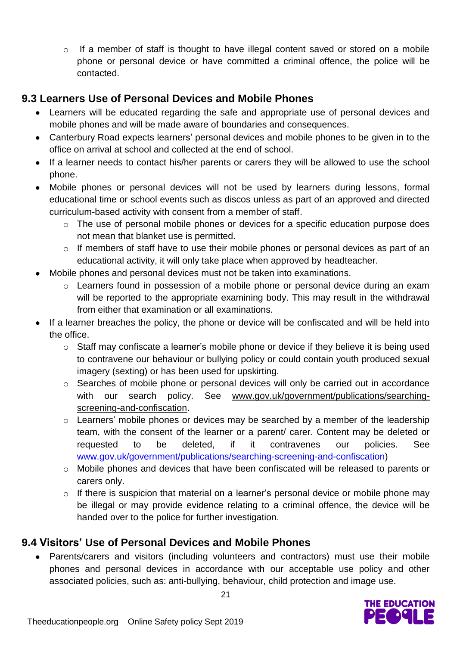$\circ$  If a member of staff is thought to have illegal content saved or stored on a mobile phone or personal device or have committed a criminal offence, the police will be contacted.

#### **9.3 Learners Use of Personal Devices and Mobile Phones**

- Learners will be educated regarding the safe and appropriate use of personal devices and mobile phones and will be made aware of boundaries and consequences.
- Canterbury Road expects learners' personal devices and mobile phones to be given in to the office on arrival at school and collected at the end of school.
- If a learner needs to contact his/her parents or carers they will be allowed to use the school phone.
- Mobile phones or personal devices will not be used by learners during lessons, formal educational time or school events such as discos unless as part of an approved and directed curriculum-based activity with consent from a member of staff.
	- o The use of personal mobile phones or devices for a specific education purpose does not mean that blanket use is permitted.
	- o If members of staff have to use their mobile phones or personal devices as part of an educational activity, it will only take place when approved by headteacher.
- Mobile phones and personal devices must not be taken into examinations.
	- o Learners found in possession of a mobile phone or personal device during an exam will be reported to the appropriate examining body. This may result in the withdrawal from either that examination or all examinations.
- If a learner breaches the policy, the phone or device will be confiscated and will be held into the office.
	- o Staff may confiscate a learner's mobile phone or device if they believe it is being used to contravene our behaviour or bullying policy or could contain youth produced sexual imagery (sexting) or has been used for upskirting.
	- o Searches of mobile phone or personal devices will only be carried out in accordance with our search policy. See [www.gov.uk/government/publications/searching](http://www.gov.uk/government/publications/searching-screening-and-confiscation)[screening-and-confiscation.](http://www.gov.uk/government/publications/searching-screening-and-confiscation)
	- o Learners' mobile phones or devices may be searched by a member of the leadership team, with the consent of the learner or a parent/ carer. Content may be deleted or requested to be deleted, if it contravenes our policies. See [www.gov.uk/government/publications/searching-screening-and-confiscation\)](http://www.gov.uk/government/publications/searching-screening-and-confiscation)
	- o Mobile phones and devices that have been confiscated will be released to parents or carers only.
	- o If there is suspicion that material on a learner's personal device or mobile phone may be illegal or may provide evidence relating to a criminal offence, the device will be handed over to the police for further investigation.

#### **9.4 Visitors' Use of Personal Devices and Mobile Phones**

 Parents/carers and visitors (including volunteers and contractors) must use their mobile phones and personal devices in accordance with our acceptable use policy and other associated policies, such as: anti-bullying, behaviour, child protection and image use.

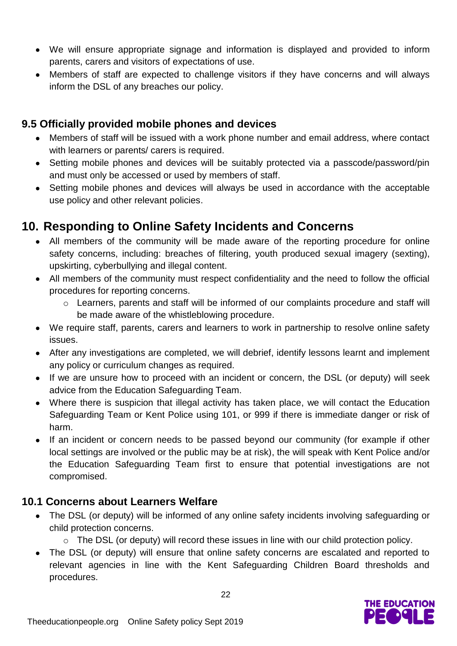- We will ensure appropriate signage and information is displayed and provided to inform parents, carers and visitors of expectations of use.
- Members of staff are expected to challenge visitors if they have concerns and will always inform the DSL of any breaches our policy.

#### **9.5 Officially provided mobile phones and devices**

- Members of staff will be issued with a work phone number and email address, where contact with learners or parents/ carers is required.
- Setting mobile phones and devices will be suitably protected via a passcode/password/pin and must only be accessed or used by members of staff.
- Setting mobile phones and devices will always be used in accordance with the acceptable use policy and other relevant policies.

#### **10. Responding to Online Safety Incidents and Concerns**

- All members of the community will be made aware of the reporting procedure for online safety concerns, including: breaches of filtering, youth produced sexual imagery (sexting), upskirting, cyberbullying and illegal content.
- All members of the community must respect confidentiality and the need to follow the official procedures for reporting concerns.
	- o Learners, parents and staff will be informed of our complaints procedure and staff will be made aware of the whistleblowing procedure.
- We require staff, parents, carers and learners to work in partnership to resolve online safety issues.
- After any investigations are completed, we will debrief, identify lessons learnt and implement any policy or curriculum changes as required.
- If we are unsure how to proceed with an incident or concern, the DSL (or deputy) will seek advice from the Education Safeguarding Team.
- Where there is suspicion that illegal activity has taken place, we will contact the Education Safeguarding Team or Kent Police using 101, or 999 if there is immediate danger or risk of harm.
- If an incident or concern needs to be passed beyond our community (for example if other local settings are involved or the public may be at risk), the will speak with Kent Police and/or the Education Safeguarding Team first to ensure that potential investigations are not compromised.

#### **10.1 Concerns about Learners Welfare**

- The DSL (or deputy) will be informed of any online safety incidents involving safeguarding or child protection concerns.
	- o The DSL (or deputy) will record these issues in line with our child protection policy.
- The DSL (or deputy) will ensure that online safety concerns are escalated and reported to relevant agencies in line with the Kent Safeguarding Children Board thresholds and procedures.

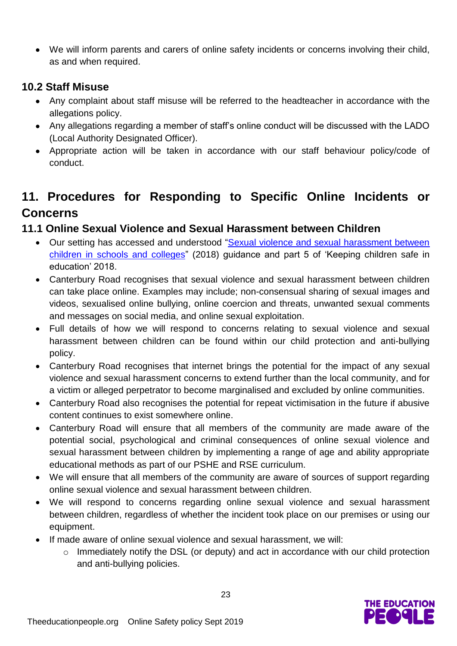We will inform parents and carers of online safety incidents or concerns involving their child, as and when required.

#### **10.2 Staff Misuse**

- Any complaint about staff misuse will be referred to the headteacher in accordance with the allegations policy.
- Any allegations regarding a member of staff's online conduct will be discussed with the LADO (Local Authority Designated Officer).
- Appropriate action will be taken in accordance with our staff behaviour policy/code of conduct.

### **11. Procedures for Responding to Specific Online Incidents or Concerns**

#### **11.1 Online Sexual Violence and Sexual Harassment between Children**

- Our setting has accessed and understood ["Sexual violence and sexual harassment between](https://www.gov.uk/government/publications/sexual-violence-and-sexual-harassment-between-children-in-schools-and-colleges)  [children in schools and colleges"](https://www.gov.uk/government/publications/sexual-violence-and-sexual-harassment-between-children-in-schools-and-colleges) (2018) guidance and part 5 of 'Keeping children safe in education' 2018.
- Canterbury Road recognises that sexual violence and sexual harassment between children can take place online. Examples may include; non-consensual sharing of sexual images and videos, sexualised online bullying, online coercion and threats, unwanted sexual comments and messages on social media, and online sexual exploitation.
- Full details of how we will respond to concerns relating to sexual violence and sexual harassment between children can be found within our child protection and anti-bullying policy.
- Canterbury Road recognises that internet brings the potential for the impact of any sexual violence and sexual harassment concerns to extend further than the local community, and for a victim or alleged perpetrator to become marginalised and excluded by online communities.
- Canterbury Road also recognises the potential for repeat victimisation in the future if abusive content continues to exist somewhere online.
- Canterbury Road will ensure that all members of the community are made aware of the potential social, psychological and criminal consequences of online sexual violence and sexual harassment between children by implementing a range of age and ability appropriate educational methods as part of our PSHE and RSE curriculum.
- We will ensure that all members of the community are aware of sources of support regarding online sexual violence and sexual harassment between children.
- We will respond to concerns regarding online sexual violence and sexual harassment between children, regardless of whether the incident took place on our premises or using our equipment.
- If made aware of online sexual violence and sexual harassment, we will:
	- o Immediately notify the DSL (or deputy) and act in accordance with our child protection and anti-bullying policies.

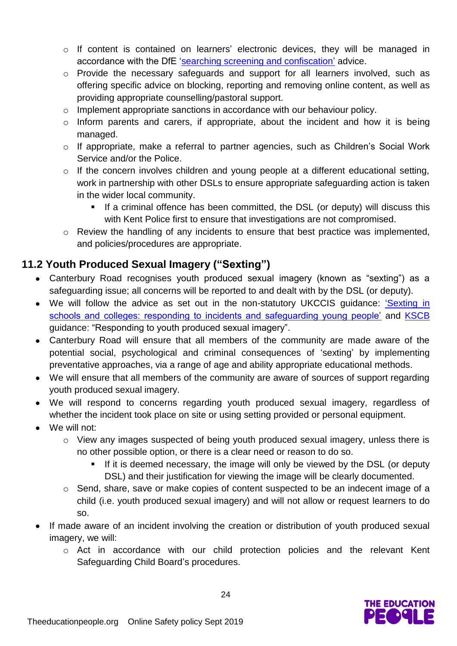- o If content is contained on learners' electronic devices, they will be managed in accordance with the DfE ['searching screening and confiscation'](https://www.gov.uk/government/publications/searching-screening-and-confiscation) advice.
- o Provide the necessary safeguards and support for all learners involved, such as offering specific advice on blocking, reporting and removing online content, as well as providing appropriate counselling/pastoral support.
- o Implement appropriate sanctions in accordance with our behaviour policy.
- $\circ$  Inform parents and carers, if appropriate, about the incident and how it is being managed.
- o If appropriate, make a referral to partner agencies, such as Children's Social Work Service and/or the Police.
- o If the concern involves children and young people at a different educational setting, work in partnership with other DSLs to ensure appropriate safeguarding action is taken in the wider local community.
	- If a criminal offence has been committed, the DSL (or deputy) will discuss this with Kent Police first to ensure that investigations are not compromised.
- o Review the handling of any incidents to ensure that best practice was implemented, and policies/procedures are appropriate.

#### **11.2 Youth Produced Sexual Imagery ("Sexting")**

- Canterbury Road recognises youth produced sexual imagery (known as "sexting") as a safeguarding issue; all concerns will be reported to and dealt with by the DSL (or deputy).
- We will follow the advice as set out in the non-statutory UKCCIS guidance: ['Sexting in](https://www.gov.uk/government/groups/uk-council-for-child-internet-safety-ukccis)  [schools and colleges: responding to incidents and safeguarding young people'](https://www.gov.uk/government/groups/uk-council-for-child-internet-safety-ukccis) and [KSCB](http://www.kscb.org.uk/guidance/online-safety) guidance: "Responding to youth produced sexual imagery".
- Canterbury Road will ensure that all members of the community are made aware of the potential social, psychological and criminal consequences of 'sexting' by implementing preventative approaches, via a range of age and ability appropriate educational methods.
- We will ensure that all members of the community are aware of sources of support regarding youth produced sexual imagery.
- We will respond to concerns regarding youth produced sexual imagery, regardless of whether the incident took place on site or using setting provided or personal equipment.
- We will not:
	- o View any images suspected of being youth produced sexual imagery, unless there is no other possible option, or there is a clear need or reason to do so.
		- If it is deemed necessary, the image will only be viewed by the DSL (or deputy DSL) and their justification for viewing the image will be clearly documented.
	- o Send, share, save or make copies of content suspected to be an indecent image of a child (i.e. youth produced sexual imagery) and will not allow or request learners to do so.
- If made aware of an incident involving the creation or distribution of youth produced sexual imagery, we will:
	- o Act in accordance with our child protection policies and the relevant Kent Safeguarding Child Board's procedures.

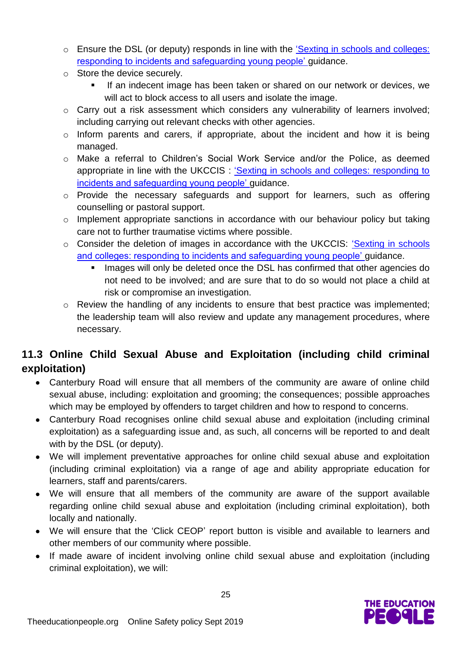- o Ensure the DSL (or deputy) responds in line with the ['Sexting in schools and colleges:](https://www.gov.uk/government/groups/uk-council-for-child-internet-safety-ukccis)  [responding to incidents and safeguarding young people'](https://www.gov.uk/government/groups/uk-council-for-child-internet-safety-ukccis) guidance.
- o Store the device securely.
	- If an indecent image has been taken or shared on our network or devices, we will act to block access to all users and isolate the image.
- o Carry out a risk assessment which considers any vulnerability of learners involved; including carrying out relevant checks with other agencies.
- o Inform parents and carers, if appropriate, about the incident and how it is being managed.
- o Make a referral to Children's Social Work Service and/or the Police, as deemed appropriate in line with the UKCCIS : ['Sexting in schools and colleges: responding to](https://www.gov.uk/government/groups/uk-council-for-child-internet-safety-ukccis)  [incidents and safeguarding young people'](https://www.gov.uk/government/groups/uk-council-for-child-internet-safety-ukccis) guidance.
- o Provide the necessary safeguards and support for learners, such as offering counselling or pastoral support.
- o Implement appropriate sanctions in accordance with our behaviour policy but taking care not to further traumatise victims where possible.
- o Consider the deletion of images in accordance with the UKCCIS: ['Sexting in schools](https://www.gov.uk/government/groups/uk-council-for-child-internet-safety-ukccis)  [and colleges: responding to incidents and safeguarding young people'](https://www.gov.uk/government/groups/uk-council-for-child-internet-safety-ukccis) guidance.
	- Images will only be deleted once the DSL has confirmed that other agencies do not need to be involved; and are sure that to do so would not place a child at risk or compromise an investigation.
- o Review the handling of any incidents to ensure that best practice was implemented; the leadership team will also review and update any management procedures, where necessary.

#### **11.3 Online Child Sexual Abuse and Exploitation (including child criminal exploitation)**

- Canterbury Road will ensure that all members of the community are aware of online child sexual abuse, including: exploitation and grooming; the consequences; possible approaches which may be employed by offenders to target children and how to respond to concerns.
- Canterbury Road recognises online child sexual abuse and exploitation (including criminal exploitation) as a safeguarding issue and, as such, all concerns will be reported to and dealt with by the DSL (or deputy).
- We will implement preventative approaches for online child sexual abuse and exploitation (including criminal exploitation) via a range of age and ability appropriate education for learners, staff and parents/carers.
- We will ensure that all members of the community are aware of the support available regarding online child sexual abuse and exploitation (including criminal exploitation), both locally and nationally.
- We will ensure that the 'Click CEOP' report button is visible and available to learners and other members of our community where possible.
- If made aware of incident involving online child sexual abuse and exploitation (including criminal exploitation), we will:

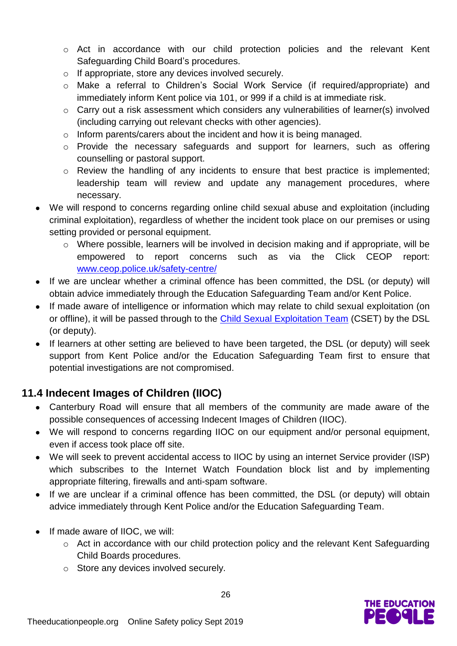- o Act in accordance with our child protection policies and the relevant Kent Safeguarding Child Board's procedures.
- o If appropriate, store any devices involved securely.
- o Make a referral to Children's Social Work Service (if required/appropriate) and immediately inform Kent police via 101, or 999 if a child is at immediate risk.
- o Carry out a risk assessment which considers any vulnerabilities of learner(s) involved (including carrying out relevant checks with other agencies).
- o Inform parents/carers about the incident and how it is being managed.
- o Provide the necessary safeguards and support for learners, such as offering counselling or pastoral support.
- o Review the handling of any incidents to ensure that best practice is implemented; leadership team will review and update any management procedures, where necessary.
- We will respond to concerns regarding online child sexual abuse and exploitation (including criminal exploitation), regardless of whether the incident took place on our premises or using setting provided or personal equipment.
	- o Where possible, learners will be involved in decision making and if appropriate, will be empowered to report concerns such as via the Click CEOP report: [www.ceop.police.uk/safety-centre/](http://www.ceop.police.uk/safety-centre/)
- If we are unclear whether a criminal offence has been committed, the DSL (or deputy) will obtain advice immediately through the Education Safeguarding Team and/or Kent Police.
- If made aware of intelligence or information which may relate to child sexual exploitation (on or offline), it will be passed through to the [Child Sexual Exploitation Team](https://www.kent.police.uk/childabuse/) (CSET) by the DSL (or deputy).
- If learners at other setting are believed to have been targeted, the DSL (or deputy) will seek support from Kent Police and/or the Education Safeguarding Team first to ensure that potential investigations are not compromised.

#### **11.4 Indecent Images of Children (IIOC)**

- Canterbury Road will ensure that all members of the community are made aware of the possible consequences of accessing Indecent Images of Children (IIOC).
- We will respond to concerns regarding IIOC on our equipment and/or personal equipment, even if access took place off site.
- We will seek to prevent accidental access to IIOC by using an internet Service provider (ISP) which subscribes to the Internet Watch Foundation block list and by implementing appropriate filtering, firewalls and anti-spam software.
- If we are unclear if a criminal offence has been committed, the DSL (or deputy) will obtain advice immediately through Kent Police and/or the Education Safeguarding Team.
- If made aware of IIOC, we will:
	- o Act in accordance with our child protection policy and the relevant Kent Safeguarding Child Boards procedures.
	- o Store any devices involved securely.

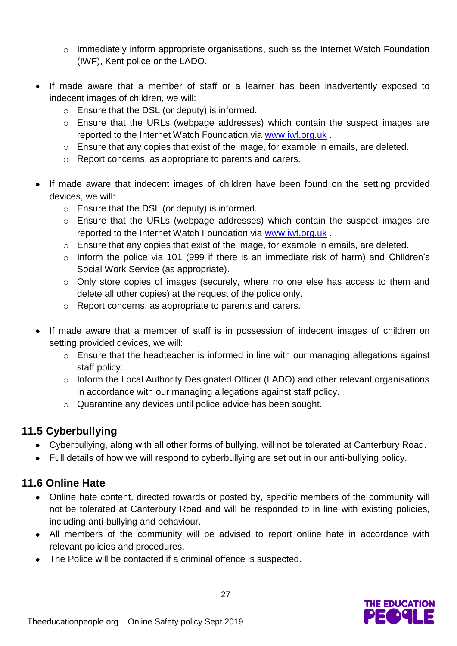- $\circ$  Immediately inform appropriate organisations, such as the Internet Watch Foundation (IWF), Kent police or the LADO.
- If made aware that a member of staff or a learner has been inadvertently exposed to indecent images of children, we will:
	- o Ensure that the DSL (or deputy) is informed.
	- o Ensure that the URLs (webpage addresses) which contain the suspect images are reported to the Internet Watch Foundation via [www.iwf.org.uk](https://www.iwf.org.uk/) .
	- o Ensure that any copies that exist of the image, for example in emails, are deleted.
	- o Report concerns, as appropriate to parents and carers.
- If made aware that indecent images of children have been found on the setting provided devices, we will:
	- o Ensure that the DSL (or deputy) is informed.
	- o Ensure that the URLs (webpage addresses) which contain the suspect images are reported to the Internet Watch Foundation via [www.iwf.org.uk](https://www.iwf.org.uk/) .
	- o Ensure that any copies that exist of the image, for example in emails, are deleted.
	- o Inform the police via 101 (999 if there is an immediate risk of harm) and Children's Social Work Service (as appropriate).
	- o Only store copies of images (securely, where no one else has access to them and delete all other copies) at the request of the police only.
	- o Report concerns, as appropriate to parents and carers.
- If made aware that a member of staff is in possession of indecent images of children on setting provided devices, we will:
	- o Ensure that the headteacher is informed in line with our managing allegations against staff policy.
	- o Inform the Local Authority Designated Officer (LADO) and other relevant organisations in accordance with our managing allegations against staff policy.
	- o Quarantine any devices until police advice has been sought.

#### **11.5 Cyberbullying**

- Cyberbullying, along with all other forms of bullying, will not be tolerated at Canterbury Road.
- Full details of how we will respond to cyberbullying are set out in our anti-bullying policy.

#### **11.6 Online Hate**

- Online hate content, directed towards or posted by, specific members of the community will not be tolerated at Canterbury Road and will be responded to in line with existing policies, including anti-bullying and behaviour.
- All members of the community will be advised to report online hate in accordance with relevant policies and procedures.
- The Police will be contacted if a criminal offence is suspected.

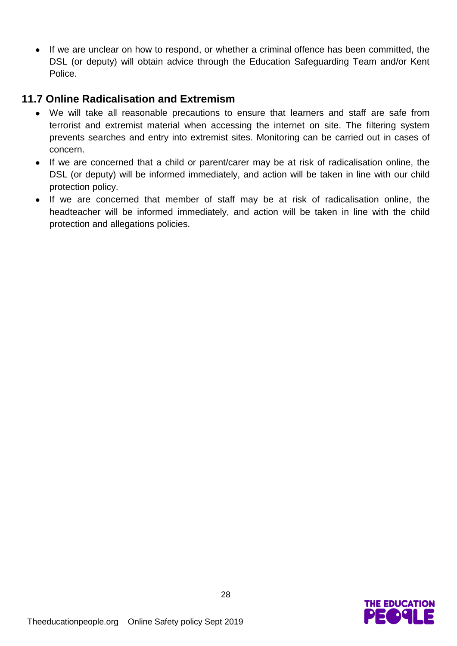If we are unclear on how to respond, or whether a criminal offence has been committed, the DSL (or deputy) will obtain advice through the Education Safeguarding Team and/or Kent Police.

#### **11.7 Online Radicalisation and Extremism**

- We will take all reasonable precautions to ensure that learners and staff are safe from terrorist and extremist material when accessing the internet on site. The filtering system prevents searches and entry into extremist sites. Monitoring can be carried out in cases of concern.
- If we are concerned that a child or parent/carer may be at risk of radicalisation online, the DSL (or deputy) will be informed immediately, and action will be taken in line with our child protection policy.
- If we are concerned that member of staff may be at risk of radicalisation online, the headteacher will be informed immediately, and action will be taken in line with the child protection and allegations policies.

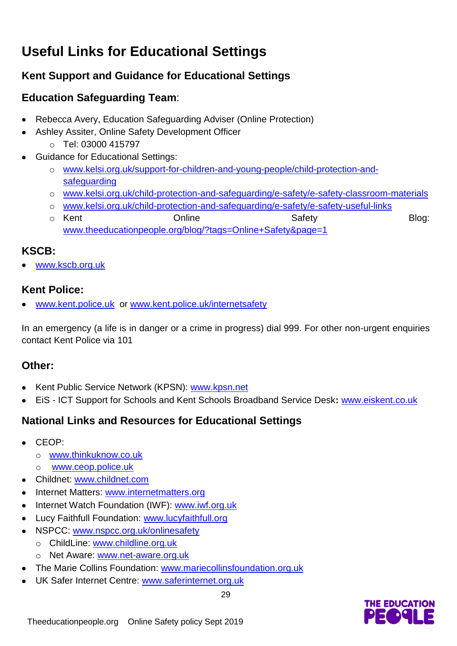# **Useful Links for Educational Settings**

#### **Kent Support and Guidance for Educational Settings**

#### **Education Safeguarding Team**:

- Rebecca Avery, Education Safeguarding Adviser (Online Protection)
- Ashley Assiter, Online Safety Development Officer o Tel: 03000 415797
- Guidance for Educational Settings:
	- o [www.kelsi.org.uk/support-for-children-and-young-people/child-protection-and](http://www.kelsi.org.uk/support-for-children-and-young-people/child-protection-and-safeguarding)[safeguarding](http://www.kelsi.org.uk/support-for-children-and-young-people/child-protection-and-safeguarding)
	- o [www.kelsi.org.uk/child-protection-and-safeguarding/e-safety/e-safety-classroom-materials](http://www.kelsi.org.uk/child-protection-and-safeguarding/e-safety/e-safety-classroom-materials)
	- o [www.kelsi.org.uk/child-protection-and-safeguarding/e-safety/e-safety-useful-links](http://www.kelsi.org.uk/child-protection-and-safeguarding/e-safety/e-safety-useful-links)
	- o Kent **Conline** Constanting Condine Safety **Safety** Blog: [www.theeducationpeople.org/blog/?tags=Online+Safety&page=1](http://www.theeducationpeople.org/blog/?tags=Online+Safety&page=1)

#### **KSCB:**

[www.kscb.org.uk](http://www.kscb.org.uk/)

#### **Kent Police:**

[www.kent.police.uk](http://www.kent.police.uk/) or [www.kent.police.uk/internetsafety](http://www.kent.police.uk/internetsafety)

In an emergency (a life is in danger or a crime in progress) dial 999. For other non-urgent enquiries contact Kent Police via 101

#### **Other:**

- Kent Public Service Network (KPSN): [www.kpsn.net](http://www.kpsn.net/)
- EiS ICT Support for Schools and Kent Schools Broadband Service Desk**:** [www.eiskent.co.uk](http://www.eiskent.co.uk/)

29

#### **National Links and Resources for Educational Settings**

- CEOP:
	- o [www.thinkuknow.co.uk](http://www.thinkuknow.co.uk/)
	- o [www.ceop.police.uk](http://www.ceop.police.uk/)
- Childnet: [www.childnet.com](http://www.childnet.com/)
- Internet Matters: [www.internetmatters.org](http://www.internetmatters.org/)
- Internet Watch Foundation (IWF): [www.iwf.org.uk](http://www.iwf.org.uk/)
- Lucy Faithfull Foundation: [www.lucyfaithfull.org](http://www.lucyfaithfull.org/)
- NSPCC: [www.nspcc.org.uk/onlinesafety](http://www.nspcc.org.uk/onlinesafety)
	- o ChildLine: [www.childline.org.uk](http://www.childline.org.uk/)
	- o Net Aware: [www.net-aware.org.uk](http://www.net-aware.org.uk/)
- The Marie Collins Foundation: [www.mariecollinsfoundation.org.uk](http://www.mariecollinsfoundation.org.uk/)
- UK Safer Internet Centre: [www.saferinternet.org.uk](http://www.saferinternet.org.uk/)